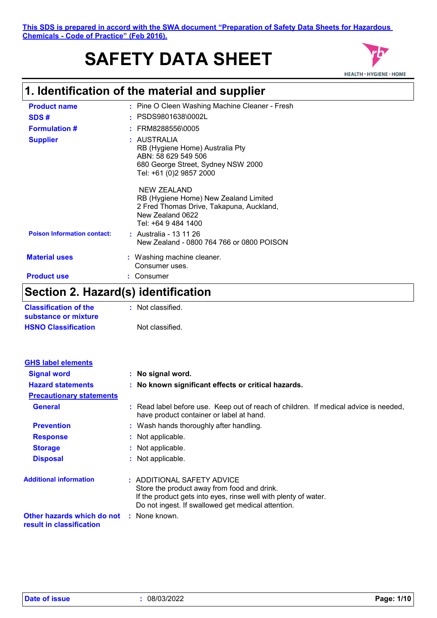# **SAFETY DATA SHEET**



## **1. Identification of the material and supplier**

| <b>Product name</b>                | : Pine O Cleen Washing Machine Cleaner - Fresh                                                                                              |
|------------------------------------|---------------------------------------------------------------------------------------------------------------------------------------------|
| SDS#                               | PSDS9801638\0002L                                                                                                                           |
| <b>Formulation #</b>               | FRM8288556\0005                                                                                                                             |
| <b>Supplier</b>                    | : AUSTRALIA<br>RB (Hygiene Home) Australia Pty<br>ABN: 58 629 549 506<br>680 George Street, Sydney NSW 2000<br>Tel: +61 (0)2 9857 2000      |
|                                    | NEW ZEALAND<br>RB (Hygiene Home) New Zealand Limited<br>2 Fred Thomas Drive, Takapuna, Auckland,<br>New Zealand 0622<br>Tel: +64 9 484 1400 |
| <b>Poison Information contact:</b> | : Australia - 13 11 26<br>New Zealand - 0800 764 766 or 0800 POISON                                                                         |
| <b>Material uses</b>               | : Washing machine cleaner.<br>Consumer uses.                                                                                                |
| <b>Product use</b>                 | Consumer                                                                                                                                    |
|                                    |                                                                                                                                             |

### **Section 2. Hazard(s) identification**

| <b>Classification of the</b> | : Not classified. |
|------------------------------|-------------------|
| substance or mixture         |                   |
| <b>HSNO Classification</b>   | Not classified.   |

| <b>GHS label elements</b>                              |                                                                                                                                                                                                    |
|--------------------------------------------------------|----------------------------------------------------------------------------------------------------------------------------------------------------------------------------------------------------|
| <b>Signal word</b>                                     | : No signal word.                                                                                                                                                                                  |
| <b>Hazard statements</b>                               | : No known significant effects or critical hazards.                                                                                                                                                |
| <b>Precautionary statements</b>                        |                                                                                                                                                                                                    |
| <b>General</b>                                         | : Read label before use. Keep out of reach of children. If medical advice is needed,<br>have product container or label at hand.                                                                   |
| <b>Prevention</b>                                      | : Wash hands thoroughly after handling.                                                                                                                                                            |
| <b>Response</b>                                        | : Not applicable.                                                                                                                                                                                  |
| <b>Storage</b>                                         | : Not applicable.                                                                                                                                                                                  |
| <b>Disposal</b>                                        | : Not applicable.                                                                                                                                                                                  |
| <b>Additional information</b>                          | : ADDITIONAL SAFETY ADVICE<br>Store the product away from food and drink.<br>If the product gets into eyes, rinse well with plenty of water.<br>Do not ingest. If swallowed get medical attention. |
| Other hazards which do not<br>result in classification | : None known.                                                                                                                                                                                      |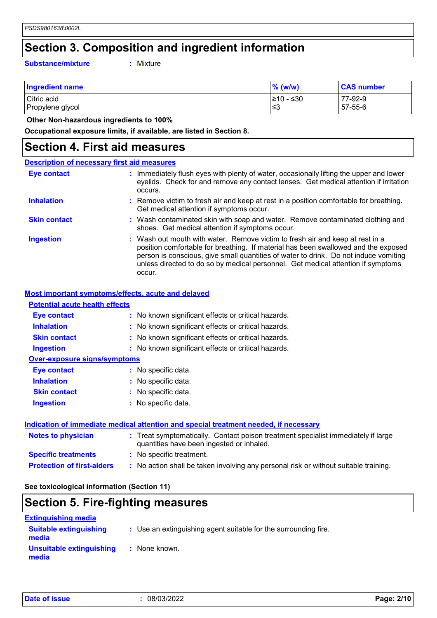### **Section 3. Composition and ingredient information**

**Substance/mixture :**

: Mixture

| <b>Ingredient name</b> | $\%$ (w/w) | <b>CAS number</b> |
|------------------------|------------|-------------------|
| Citric acid            | ≥10 - ≤30  | 77-92-9           |
| Propylene glycol       | ≤3         | 57-55-6           |

 **Other Non-hazardous ingredients to 100%**

**Occupational exposure limits, if available, are listed in Section 8.**

### **Section 4. First aid measures**

| <b>Description of necessary first aid measures</b> |                                                                                                                                                                                                                                                                                                                                                           |
|----------------------------------------------------|-----------------------------------------------------------------------------------------------------------------------------------------------------------------------------------------------------------------------------------------------------------------------------------------------------------------------------------------------------------|
| <b>Eye contact</b>                                 | : Immediately flush eyes with plenty of water, occasionally lifting the upper and lower<br>eyelids. Check for and remove any contact lenses. Get medical attention if irritation<br>occurs.                                                                                                                                                               |
| <b>Inhalation</b>                                  | : Remove victim to fresh air and keep at rest in a position comfortable for breathing.<br>Get medical attention if symptoms occur.                                                                                                                                                                                                                        |
| <b>Skin contact</b>                                | : Wash contaminated skin with soap and water. Remove contaminated clothing and<br>shoes. Get medical attention if symptoms occur.                                                                                                                                                                                                                         |
| <b>Ingestion</b>                                   | : Wash out mouth with water. Remove victim to fresh air and keep at rest in a<br>position comfortable for breathing. If material has been swallowed and the exposed<br>person is conscious, give small quantities of water to drink. Do not induce vomiting<br>unless directed to do so by medical personnel. Get medical attention if symptoms<br>occur. |

#### **Most important symptoms/effects, acute and delayed**

| <b>Potential acute health effects</b> |                                                     |
|---------------------------------------|-----------------------------------------------------|
| <b>Eye contact</b>                    | : No known significant effects or critical hazards. |
| <b>Inhalation</b>                     | : No known significant effects or critical hazards. |
| <b>Skin contact</b>                   | : No known significant effects or critical hazards. |
| <b>Ingestion</b>                      | : No known significant effects or critical hazards. |
| <b>Over-exposure signs/symptoms</b>   |                                                     |
| Eye contact                           | : No specific data.                                 |
| <b>Inhalation</b>                     | : No specific data.                                 |
| <b>Skin contact</b>                   | : No specific data.                                 |
| <b>Ingestion</b>                      | : No specific data.                                 |
|                                       |                                                     |

#### **Indication of immediate medical attention and special treatment needed, if necessary**

| <b>Notes to physician</b>         | : Treat symptomatically. Contact poison treatment specialist immediately if large<br>quantities have been ingested or inhaled. |
|-----------------------------------|--------------------------------------------------------------------------------------------------------------------------------|
| <b>Specific treatments</b>        | : No specific treatment.                                                                                                       |
| <b>Protection of first-aiders</b> | : No action shall be taken involving any personal risk or without suitable training.                                           |

### **See toxicological information (Section 11)**

### **Section 5. Fire-fighting measures**

| <b>Extinguishing media</b>             |                                                                 |
|----------------------------------------|-----------------------------------------------------------------|
| <b>Suitable extinguishing</b><br>media | : Use an extinguishing agent suitable for the surrounding fire. |
| Unsuitable extinguishing<br>media      | : None known.                                                   |

|  |  |  | <b>Date of issue</b> |  |
|--|--|--|----------------------|--|
|--|--|--|----------------------|--|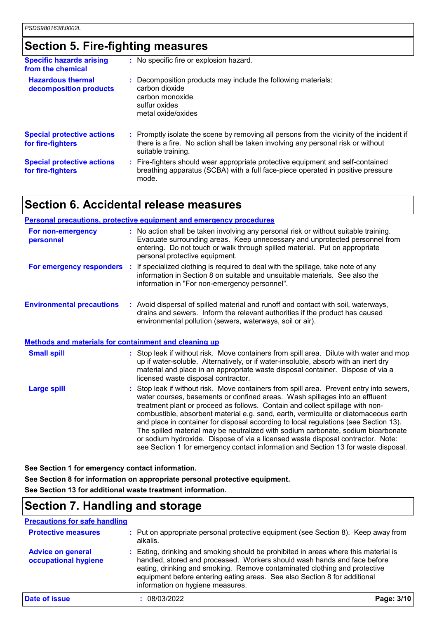### **Section 5. Fire-fighting measures**

| <b>Specific hazards arising</b><br>from the chemical   | : No specific fire or explosion hazard.                                                                                                                                                             |
|--------------------------------------------------------|-----------------------------------------------------------------------------------------------------------------------------------------------------------------------------------------------------|
| <b>Hazardous thermal</b><br>decomposition products     | : Decomposition products may include the following materials:<br>carbon dioxide<br>carbon monoxide<br>sulfur oxides<br>metal oxide/oxides                                                           |
| <b>Special protective actions</b><br>for fire-fighters | : Promptly isolate the scene by removing all persons from the vicinity of the incident if<br>there is a fire. No action shall be taken involving any personal risk or without<br>suitable training. |
| <b>Special protective actions</b><br>for fire-fighters | : Fire-fighters should wear appropriate protective equipment and self-contained<br>breathing apparatus (SCBA) with a full face-piece operated in positive pressure<br>mode.                         |

### **Section 6. Accidental release measures**

|                                                       | <b>Personal precautions, protective equipment and emergency procedures</b>                                                                                                                                                                                                                                                                                                                                                                                                                                                                                                                                                                                                                            |
|-------------------------------------------------------|-------------------------------------------------------------------------------------------------------------------------------------------------------------------------------------------------------------------------------------------------------------------------------------------------------------------------------------------------------------------------------------------------------------------------------------------------------------------------------------------------------------------------------------------------------------------------------------------------------------------------------------------------------------------------------------------------------|
| For non-emergency<br>personnel                        | : No action shall be taken involving any personal risk or without suitable training.<br>Evacuate surrounding areas. Keep unnecessary and unprotected personnel from<br>entering. Do not touch or walk through spilled material. Put on appropriate<br>personal protective equipment.                                                                                                                                                                                                                                                                                                                                                                                                                  |
|                                                       | <b>For emergency responders</b> : If specialized clothing is required to deal with the spillage, take note of any<br>information in Section 8 on suitable and unsuitable materials. See also the<br>information in "For non-emergency personnel".                                                                                                                                                                                                                                                                                                                                                                                                                                                     |
| <b>Environmental precautions</b>                      | : Avoid dispersal of spilled material and runoff and contact with soil, waterways,<br>drains and sewers. Inform the relevant authorities if the product has caused<br>environmental pollution (sewers, waterways, soil or air).                                                                                                                                                                                                                                                                                                                                                                                                                                                                       |
| Methods and materials for containment and cleaning up |                                                                                                                                                                                                                                                                                                                                                                                                                                                                                                                                                                                                                                                                                                       |
| <b>Small spill</b>                                    | : Stop leak if without risk. Move containers from spill area. Dilute with water and mop<br>up if water-soluble. Alternatively, or if water-insoluble, absorb with an inert dry<br>material and place in an appropriate waste disposal container. Dispose of via a<br>licensed waste disposal contractor.                                                                                                                                                                                                                                                                                                                                                                                              |
| <b>Large spill</b>                                    | : Stop leak if without risk. Move containers from spill area. Prevent entry into sewers,<br>water courses, basements or confined areas. Wash spillages into an effluent<br>treatment plant or proceed as follows. Contain and collect spillage with non-<br>combustible, absorbent material e.g. sand, earth, vermiculite or diatomaceous earth<br>and place in container for disposal according to local regulations (see Section 13).<br>The spilled material may be neutralized with sodium carbonate, sodium bicarbonate<br>or sodium hydroxide. Dispose of via a licensed waste disposal contractor. Note:<br>see Section 1 for emergency contact information and Section 13 for waste disposal. |

**See Section 1 for emergency contact information.**

**See Section 8 for information on appropriate personal protective equipment.**

**See Section 13 for additional waste treatment information.**

### **Section 7. Handling and storage**

**Precautions for safe handling**

| <b>Protective measures</b>                       | : Put on appropriate personal protective equipment (see Section 8). Keep away from<br>alkalis.                                                                                                                                                                                                                                                                |  |
|--------------------------------------------------|---------------------------------------------------------------------------------------------------------------------------------------------------------------------------------------------------------------------------------------------------------------------------------------------------------------------------------------------------------------|--|
| <b>Advice on general</b><br>occupational hygiene | : Eating, drinking and smoking should be prohibited in areas where this material is<br>handled, stored and processed. Workers should wash hands and face before<br>eating, drinking and smoking. Remove contaminated clothing and protective<br>equipment before entering eating areas. See also Section 8 for additional<br>information on hygiene measures. |  |
| Date of issue                                    | Page: 3/10<br>08/03/2022                                                                                                                                                                                                                                                                                                                                      |  |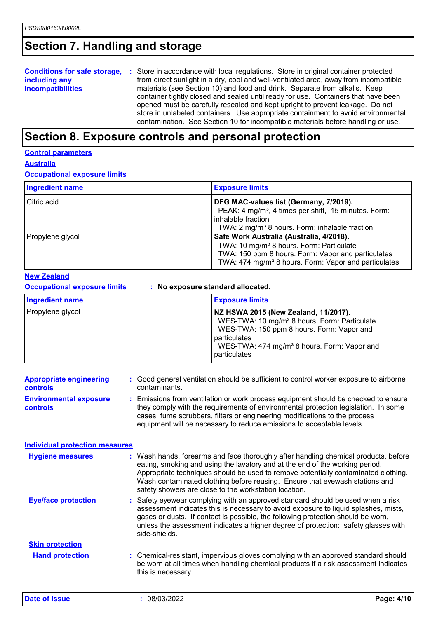### **Section 7. Handling and storage**

|                          | <b>Conditions for safe storage, :</b> Store in accordance with local regulations. Store in original container protected |
|--------------------------|-------------------------------------------------------------------------------------------------------------------------|
| including any            | from direct sunlight in a dry, cool and well-ventilated area, away from incompatible                                    |
| <b>incompatibilities</b> | materials (see Section 10) and food and drink. Separate from alkalis. Keep                                              |
|                          | container tightly closed and sealed until ready for use. Containers that have been                                      |
|                          | opened must be carefully resealed and kept upright to prevent leakage. Do not                                           |
|                          | store in unlabeled containers. Use appropriate containment to avoid environmental                                       |
|                          | contamination. See Section 10 for incompatible materials before handling or use.                                        |

### **Section 8. Exposure controls and personal protection**

#### **Control parameters**

**Australia**

**Occupational exposure limits**

| <b>Ingredient name</b> | <b>Exposure limits</b>                                                                                                                                                                                                     |
|------------------------|----------------------------------------------------------------------------------------------------------------------------------------------------------------------------------------------------------------------------|
| Citric acid            | DFG MAC-values list (Germany, 7/2019).<br>PEAK: 4 mg/m <sup>3</sup> , 4 times per shift, 15 minutes. Form:<br>inhalable fraction<br>TWA: 2 mg/m <sup>3</sup> 8 hours. Form: inhalable fraction                             |
| Propylene glycol       | Safe Work Australia (Australia, 4/2018).<br>TWA: 10 mg/m <sup>3</sup> 8 hours. Form: Particulate<br>TWA: 150 ppm 8 hours. Form: Vapor and particulates<br>TWA: 474 mg/m <sup>3</sup> 8 hours. Form: Vapor and particulates |

#### **New Zealand**

| <b>Occupational exposure limits</b><br>: No exposure standard allocated. |                                                                                                                                                                                                                                          |  |  |
|--------------------------------------------------------------------------|------------------------------------------------------------------------------------------------------------------------------------------------------------------------------------------------------------------------------------------|--|--|
| <b>Ingredient name</b>                                                   | <b>Exposure limits</b>                                                                                                                                                                                                                   |  |  |
| Propylene glycol                                                         | NZ HSWA 2015 (New Zealand, 11/2017).<br>WES-TWA: 10 mg/m <sup>3</sup> 8 hours. Form: Particulate<br>WES-TWA: 150 ppm 8 hours. Form: Vapor and<br>particulates<br>WES-TWA: 474 mg/m <sup>3</sup> 8 hours. Form: Vapor and<br>particulates |  |  |

| <b>Appropriate engineering</b><br>controls                                         | : Good general ventilation should be sufficient to control worker exposure to airborne<br>contaminants.                                                                                                                                                                                                                                                                                           |  |
|------------------------------------------------------------------------------------|---------------------------------------------------------------------------------------------------------------------------------------------------------------------------------------------------------------------------------------------------------------------------------------------------------------------------------------------------------------------------------------------------|--|
| <b>Environmental exposure</b><br>controls<br><b>Individual protection measures</b> | : Emissions from ventilation or work process equipment should be checked to ensure<br>they comply with the requirements of environmental protection legislation. In some<br>cases, fume scrubbers, filters or engineering modifications to the process<br>equipment will be necessary to reduce emissions to acceptable levels.                                                                   |  |
|                                                                                    |                                                                                                                                                                                                                                                                                                                                                                                                   |  |
| <b>Hygiene measures</b>                                                            | : Wash hands, forearms and face thoroughly after handling chemical products, before<br>eating, smoking and using the lavatory and at the end of the working period.<br>Appropriate techniques should be used to remove potentially contaminated clothing.<br>Wash contaminated clothing before reusing. Ensure that eyewash stations and<br>safety showers are close to the workstation location. |  |
| <b>Eye/face protection</b>                                                         | : Safety eyewear complying with an approved standard should be used when a risk<br>assessment indicates this is necessary to avoid exposure to liquid splashes, mists,<br>gases or dusts. If contact is possible, the following protection should be worn,<br>unless the assessment indicates a higher degree of protection: safety glasses with<br>side-shields.                                 |  |
| <b>Skin protection</b>                                                             |                                                                                                                                                                                                                                                                                                                                                                                                   |  |
| <b>Hand protection</b>                                                             | : Chemical-resistant, impervious gloves complying with an approved standard should<br>be worn at all times when handling chemical products if a risk assessment indicates<br>this is necessary.                                                                                                                                                                                                   |  |
| Date of issue                                                                      | : 08/03/2022<br>Page: 4/10                                                                                                                                                                                                                                                                                                                                                                        |  |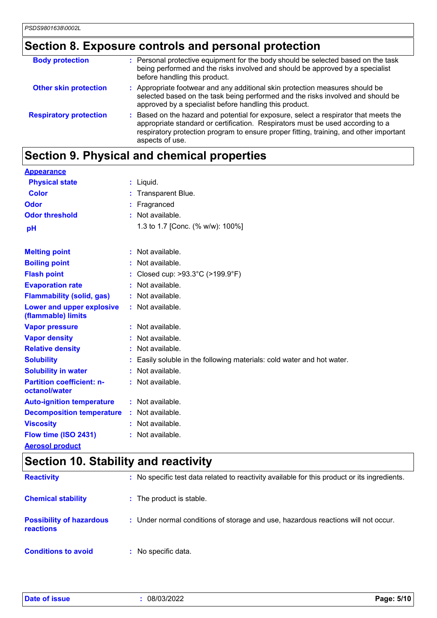## **Section 8. Exposure controls and personal protection**

| <b>Body protection</b>        | : Personal protective equipment for the body should be selected based on the task<br>being performed and the risks involved and should be approved by a specialist<br>before handling this product.                                                                                 |
|-------------------------------|-------------------------------------------------------------------------------------------------------------------------------------------------------------------------------------------------------------------------------------------------------------------------------------|
| <b>Other skin protection</b>  | : Appropriate footwear and any additional skin protection measures should be<br>selected based on the task being performed and the risks involved and should be<br>approved by a specialist before handling this product.                                                           |
| <b>Respiratory protection</b> | : Based on the hazard and potential for exposure, select a respirator that meets the<br>appropriate standard or certification. Respirators must be used according to a<br>respiratory protection program to ensure proper fitting, training, and other important<br>aspects of use. |

## **Section 9. Physical and chemical properties**

| <b>Appearance</b>                                      |    |                                                                      |
|--------------------------------------------------------|----|----------------------------------------------------------------------|
| <b>Physical state</b>                                  |    | $:$ Liquid.                                                          |
| <b>Color</b>                                           |    | : Transparent Blue.                                                  |
| Odor                                                   |    | Fragranced                                                           |
| <b>Odor threshold</b>                                  |    | : Not available.                                                     |
| pH                                                     |    | 1.3 to 1.7 [Conc. (% w/w): 100%]                                     |
|                                                        |    |                                                                      |
| <b>Melting point</b>                                   |    | : Not available.                                                     |
| <b>Boiling point</b>                                   |    | $:$ Not available.                                                   |
| <b>Flash point</b>                                     |    | Closed cup: >93.3°C (>199.9°F)                                       |
| <b>Evaporation rate</b>                                |    | Not available.                                                       |
| <b>Flammability (solid, gas)</b>                       |    | Not available.                                                       |
| <b>Lower and upper explosive</b><br>(flammable) limits |    | : Not available.                                                     |
| <b>Vapor pressure</b>                                  |    | $:$ Not available.                                                   |
| <b>Vapor density</b>                                   |    | $:$ Not available.                                                   |
| <b>Relative density</b>                                |    | : Not available.                                                     |
| <b>Solubility</b>                                      |    | Easily soluble in the following materials: cold water and hot water. |
| <b>Solubility in water</b>                             | ÷. | Not available.                                                       |
| <b>Partition coefficient: n-</b><br>octanol/water      |    | : Not available.                                                     |
| <b>Auto-ignition temperature</b>                       |    | : Not available.                                                     |
| <b>Decomposition temperature</b>                       |    | : Not available.                                                     |
| <b>Viscosity</b>                                       |    | $:$ Not available.                                                   |
| Flow time (ISO 2431)                                   |    | Not available.                                                       |
| <b>Aerosol product</b>                                 |    |                                                                      |

### **Section 10. Stability and reactivity**

| <b>Reactivity</b>                            | : No specific test data related to reactivity available for this product or its ingredients. |
|----------------------------------------------|----------------------------------------------------------------------------------------------|
| <b>Chemical stability</b>                    | : The product is stable.                                                                     |
| <b>Possibility of hazardous</b><br>reactions | : Under normal conditions of storage and use, hazardous reactions will not occur.            |
| <b>Conditions to avoid</b>                   | : No specific data.                                                                          |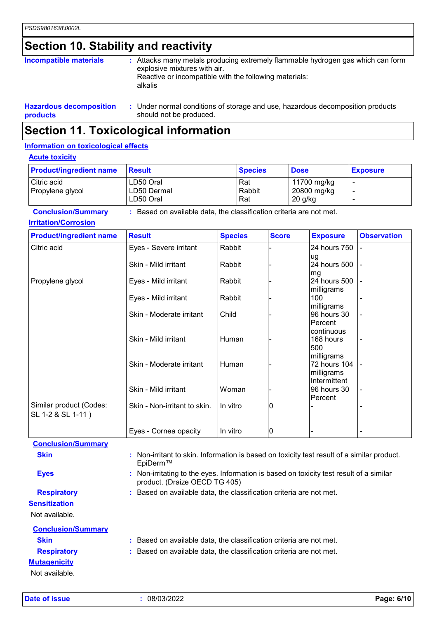### **Section 10. Stability and reactivity**

| Incompatible materials         | : Attacks many metals producing extremely flammable hydrogen gas which can form<br>explosive mixtures with air.<br>Reactive or incompatible with the following materials:<br>alkalis |
|--------------------------------|--------------------------------------------------------------------------------------------------------------------------------------------------------------------------------------|
| <b>Hazardous decomposition</b> | : Under normal conditions of storage and use, hazardous decomposition products                                                                                                       |

#### **products** should not be produced. **Section 11. Toxicological information**

#### **Information on toxicological effects**

#### **Acute toxicity**

| <b>Product/ingredient name</b> | Result      | <b>Species</b> | <b>Dose</b> | <b>Exposure</b> |
|--------------------------------|-------------|----------------|-------------|-----------------|
| Citric acid                    | LD50 Oral   | Rat            | 11700 mg/kg |                 |
| Propylene glycol               | LD50 Dermal | Rabbit         | 20800 mg/kg |                 |
|                                | LD50 Oral   | Rat            | 20 g/kg     |                 |

**Conclusion/Summary :** Based on available data, the classification criteria are not met.

#### **Irritation/Corrosion**

| <b>Product/ingredient name</b>               | <b>Result</b>                                                                              | <b>Species</b> | <b>Score</b> | <b>Exposure</b>                          | <b>Observation</b> |
|----------------------------------------------|--------------------------------------------------------------------------------------------|----------------|--------------|------------------------------------------|--------------------|
| Citric acid                                  | Eyes - Severe irritant                                                                     | Rabbit         |              | 24 hours 750                             |                    |
|                                              | Skin - Mild irritant                                                                       | Rabbit         |              | ug<br>24 hours 500                       |                    |
| Propylene glycol                             | Eyes - Mild irritant                                                                       | Rabbit         |              | mg<br>24 hours 500                       |                    |
|                                              | Eyes - Mild irritant                                                                       | Rabbit         |              | milligrams<br>100<br>milligrams          |                    |
|                                              | Skin - Moderate irritant                                                                   | Child          |              | 96 hours 30<br>Percent                   |                    |
|                                              | Skin - Mild irritant                                                                       | Human          |              | continuous<br>168 hours<br>500           |                    |
|                                              | Skin - Moderate irritant                                                                   | Human          |              | milligrams<br>72 hours 104<br>milligrams |                    |
|                                              | Skin - Mild irritant                                                                       | Woman          |              | Intermittent<br>96 hours 30              |                    |
| Similar product (Codes:<br>SL 1-2 & SL 1-11) | Skin - Non-irritant to skin.                                                               | In vitro       | 10           | Percent                                  |                    |
|                                              | Eyes - Cornea opacity                                                                      | In vitro       | 10           |                                          |                    |
| <b>Conclusion/Summary</b>                    |                                                                                            |                |              |                                          |                    |
| <b>Skin</b>                                  | : Non-irritant to skin. Information is based on toxicity test result of a similar product. |                |              |                                          |                    |

EpiDerm™ **Eyes Eyes :** Non-irritating to the eyes. Information is based on toxicity test result of a similar product. (Draize OECD TG 405)

### **Respiratory :** Based on available data, the classification criteria are not met.

**Sensitization** Not available.

| <b>Conclusion/Summary</b> |                                                                     |
|---------------------------|---------------------------------------------------------------------|
| <b>Skin</b>               | : Based on available data, the classification criteria are not met. |
| <b>Respiratory</b>        | : Based on available data, the classification criteria are not met. |
| <b>Mutagenicity</b>       |                                                                     |
| Not available.            |                                                                     |

**Date of issue :** 08/03/2022 **Page: 6/10**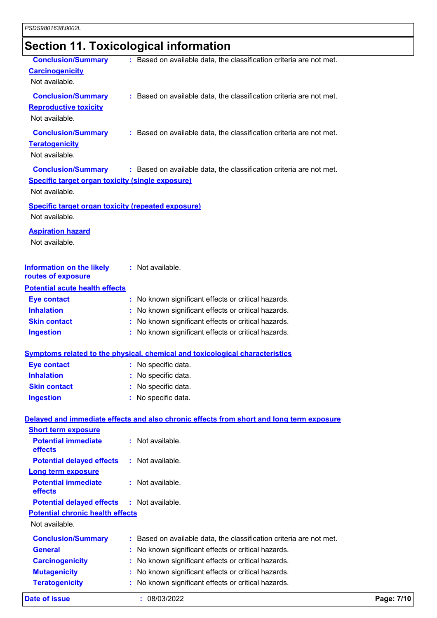# **Section 11. Toxicological information**

| <b>Date of issue</b>                                                        | : 08/03/2022                                                                             | Page: 7/10 |
|-----------------------------------------------------------------------------|------------------------------------------------------------------------------------------|------------|
| <b>Teratogenicity</b>                                                       | No known significant effects or critical hazards.                                        |            |
| <b>Mutagenicity</b>                                                         | No known significant effects or critical hazards.                                        |            |
| <b>Carcinogenicity</b>                                                      | No known significant effects or critical hazards.                                        |            |
| <b>General</b>                                                              | No known significant effects or critical hazards.                                        |            |
| <b>Conclusion/Summary</b>                                                   | : Based on available data, the classification criteria are not met.                      |            |
| Not available.                                                              |                                                                                          |            |
| <b>Potential chronic health effects</b>                                     |                                                                                          |            |
| <b>Potential delayed effects</b>                                            | : Not available.                                                                         |            |
| <b>Potential immediate</b><br>effects                                       | : Not available.                                                                         |            |
| <b>Long term exposure</b>                                                   |                                                                                          |            |
| <b>Potential delayed effects</b>                                            | : Not available.                                                                         |            |
| <b>Short term exposure</b><br><b>Potential immediate</b><br>effects         | : Not available.                                                                         |            |
|                                                                             | Delayed and immediate effects and also chronic effects from short and long term exposure |            |
| <b>Ingestion</b>                                                            | No specific data.                                                                        |            |
| <b>Skin contact</b>                                                         | : No specific data.                                                                      |            |
| <b>Inhalation</b>                                                           | : No specific data.                                                                      |            |
| <b>Eye contact</b>                                                          | : No specific data.                                                                      |            |
|                                                                             | Symptoms related to the physical, chemical and toxicological characteristics             |            |
| <b>Ingestion</b>                                                            | : No known significant effects or critical hazards.                                      |            |
| <b>Skin contact</b>                                                         | : No known significant effects or critical hazards.                                      |            |
| <b>Inhalation</b>                                                           | No known significant effects or critical hazards.                                        |            |
| <b>Eye contact</b>                                                          | : No known significant effects or critical hazards.                                      |            |
| routes of exposure<br><b>Potential acute health effects</b>                 |                                                                                          |            |
| <b>Information on the likely</b>                                            | : Not available.                                                                         |            |
| <b>Aspiration hazard</b><br>Not available.                                  |                                                                                          |            |
| <b>Specific target organ toxicity (repeated exposure)</b><br>Not available. |                                                                                          |            |
| <b>Specific target organ toxicity (single exposure)</b><br>Not available.   |                                                                                          |            |
| <b>Conclusion/Summary</b>                                                   | : Based on available data, the classification criteria are not met.                      |            |
| <b>Conclusion/Summary</b><br><b>Teratogenicity</b><br>Not available.        | : Based on available data, the classification criteria are not met.                      |            |
| <b>Conclusion/Summary</b><br><b>Reproductive toxicity</b><br>Not available. | : Based on available data, the classification criteria are not met.                      |            |
| <b>Conclusion/Summary</b><br><b>Carcinogenicity</b><br>Not available.       | : Based on available data, the classification criteria are not met.                      |            |
|                                                                             |                                                                                          |            |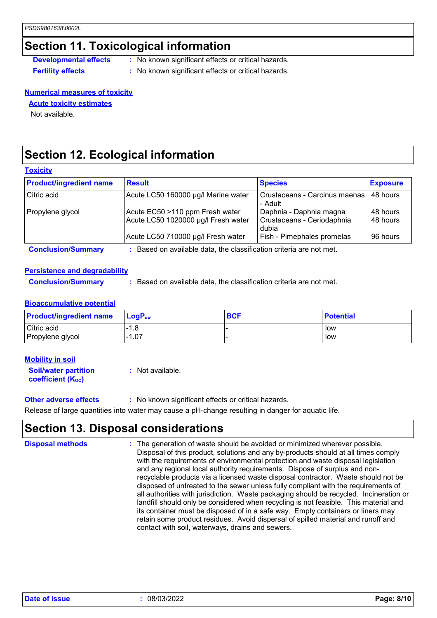### **Section 11. Toxicological information**

- **Developmental effects** : No known significant effects or critical hazards.
- 
- **Fertility effects :** No known significant effects or critical hazards.

#### **Numerical measures of toxicity**

**Acute toxicity estimates**

Not available.

### **Section 12. Ecological information**

#### **Toxicity**

| <b>Product/ingredient name</b> | <b>Result</b>                                                          | <b>Species</b>                                                 | <b>Exposure</b>      |
|--------------------------------|------------------------------------------------------------------------|----------------------------------------------------------------|----------------------|
| Citric acid                    | Acute LC50 160000 µg/l Marine water                                    | Crustaceans - Carcinus maenas<br>- Adult                       | 48 hours             |
| Propylene glycol               | Acute EC50 >110 ppm Fresh water<br>Acute LC50 1020000 µg/l Fresh water | Daphnia - Daphnia magna<br>Crustaceans - Ceriodaphnia<br>dubia | 48 hours<br>48 hours |
|                                | Acute LC50 710000 µg/l Fresh water                                     | Fish - Pimephales promelas                                     | 96 hours             |
| <b>Conclusion/Summary</b>      | Based on available data, the classification criteria are not met.      |                                                                |                      |

#### **Persistence and degradability**

**Conclusion/Summary :** Based on available data, the classification criteria are not met.

#### **Bioaccumulative potential**

| <b>Product/ingredient name</b> | <b>LogP</b> <sub>ow</sub> | <b>BCF</b> | <b>Potential</b> |
|--------------------------------|---------------------------|------------|------------------|
| Citric acid                    | -1.8                      |            | low              |
| Propylene glycol               | $-1.07$                   |            | low              |

#### **Mobility in soil**

**Soil/water partition coefficient (Koc) :** Not available.

**Other adverse effects :** No known significant effects or critical hazards.

Release of large quantities into water may cause a pH-change resulting in danger for aquatic life.

### **Section 13. Disposal considerations**

The generation of waste should be avoided or minimized wherever possible. Disposal of this product, solutions and any by-products should at all times comply with the requirements of environmental protection and waste disposal legislation and any regional local authority requirements. Dispose of surplus and nonrecyclable products via a licensed waste disposal contractor. Waste should not be disposed of untreated to the sewer unless fully compliant with the requirements of all authorities with jurisdiction. Waste packaging should be recycled. Incineration or landfill should only be considered when recycling is not feasible. This material and its container must be disposed of in a safe way. Empty containers or liners may retain some product residues. Avoid dispersal of spilled material and runoff and contact with soil, waterways, drains and sewers. **Disposal methods :**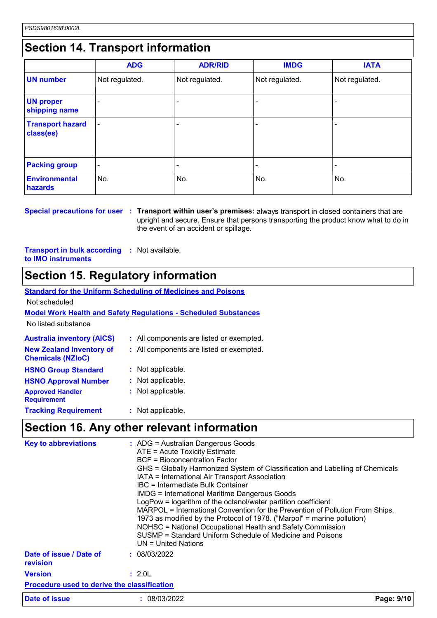### **Section 14. Transport information**

|                                      | <b>ADG</b>               | <b>ADR/RID</b> | <b>IMDG</b>    | <b>IATA</b>              |
|--------------------------------------|--------------------------|----------------|----------------|--------------------------|
| <b>UN number</b>                     | Not regulated.           | Not regulated. | Not regulated. | Not regulated.           |
| <b>UN proper</b><br>shipping name    | $\overline{\phantom{0}}$ |                |                |                          |
| <b>Transport hazard</b><br>class(es) | $\overline{\phantom{0}}$ |                |                | $\overline{\phantom{0}}$ |
| <b>Packing group</b>                 | $\overline{\phantom{a}}$ |                |                |                          |
| <b>Environmental</b><br>hazards      | No.                      | No.            | No.            | No.                      |

**Special precautions for user Transport within user's premises:** always transport in closed containers that are **:** upright and secure. Ensure that persons transporting the product know what to do in the event of an accident or spillage.

**Transport in bulk according :** Not available. **to IMO instruments**

### **Section 15. Regulatory information**

|                                   | <b>Standard for the Uniform Scheduling of Medicines and Poisons</b>    |
|-----------------------------------|------------------------------------------------------------------------|
| Not scheduled                     |                                                                        |
|                                   | <b>Model Work Health and Safety Regulations - Scheduled Substances</b> |
| No listed substance               |                                                                        |
| <b>Australia inventory (AICS)</b> | : All components are listed or exempted.                               |
| Naw Zeelend Inventory of          | . All componente are lieted ar exampted                                |

| <b>New Zealand Inventory of</b><br><b>Chemicals (NZIoC)</b> | : All components are listed or exempted. |
|-------------------------------------------------------------|------------------------------------------|
| <b>HSNO Group Standard</b>                                  | : Not applicable.                        |
| <b>HSNO Approval Number</b>                                 | : Not applicable.                        |
| <b>Approved Handler</b><br><b>Requirement</b>               | : Not applicable.                        |
| <b>Tracking Requirement</b>                                 | : Not applicable.                        |

### **Section 16. Any other relevant information**

| <b>Key to abbreviations</b>                        | : ADG = Australian Dangerous Goods<br>ATE = Acute Toxicity Estimate<br><b>BCF</b> = Bioconcentration Factor<br>GHS = Globally Harmonized System of Classification and Labelling of Chemicals<br>IATA = International Air Transport Association<br>IBC = Intermediate Bulk Container<br><b>IMDG = International Maritime Dangerous Goods</b><br>LogPow = logarithm of the octanol/water partition coefficient<br>MARPOL = International Convention for the Prevention of Pollution From Ships,<br>1973 as modified by the Protocol of 1978. ("Marpol" = marine pollution)<br>NOHSC = National Occupational Health and Safety Commission<br>SUSMP = Standard Uniform Schedule of Medicine and Poisons<br>UN = United Nations |            |
|----------------------------------------------------|----------------------------------------------------------------------------------------------------------------------------------------------------------------------------------------------------------------------------------------------------------------------------------------------------------------------------------------------------------------------------------------------------------------------------------------------------------------------------------------------------------------------------------------------------------------------------------------------------------------------------------------------------------------------------------------------------------------------------|------------|
| Date of issue / Date of<br>revision                | : 08/03/2022                                                                                                                                                                                                                                                                                                                                                                                                                                                                                                                                                                                                                                                                                                               |            |
| <b>Version</b>                                     | : 2.0L                                                                                                                                                                                                                                                                                                                                                                                                                                                                                                                                                                                                                                                                                                                     |            |
| <b>Procedure used to derive the classification</b> |                                                                                                                                                                                                                                                                                                                                                                                                                                                                                                                                                                                                                                                                                                                            |            |
| Date of issue                                      | : 08/03/2022                                                                                                                                                                                                                                                                                                                                                                                                                                                                                                                                                                                                                                                                                                               | Page: 9/10 |